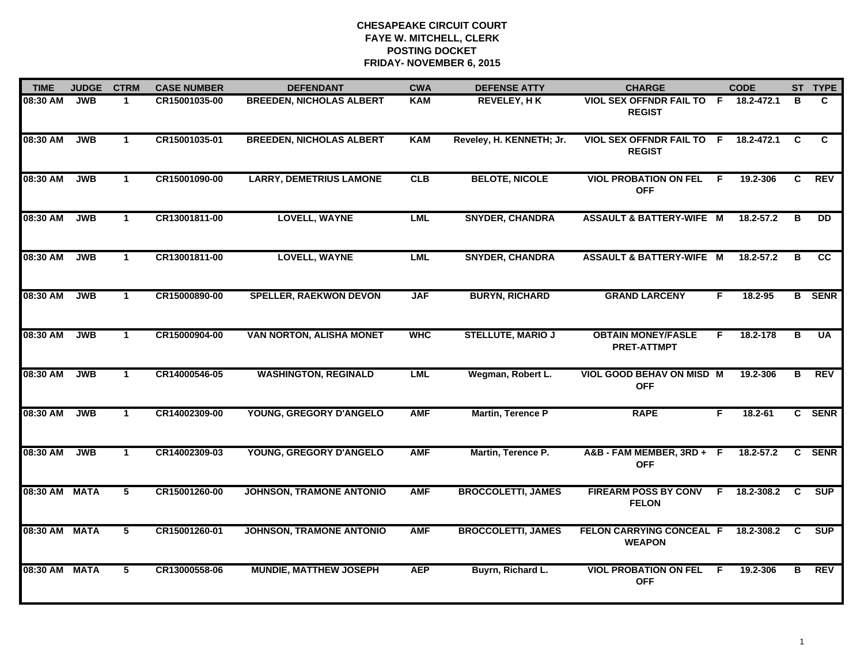| <b>TIME</b>   | <b>JUDGE</b> | <b>CTRM</b>          | <b>CASE NUMBER</b> | <b>DEFENDANT</b>                | <b>CWA</b> | <b>DEFENSE ATTY</b>       | <b>CHARGE</b>                                   |    | <b>CODE</b> |    | ST TYPE       |
|---------------|--------------|----------------------|--------------------|---------------------------------|------------|---------------------------|-------------------------------------------------|----|-------------|----|---------------|
| 08:30 AM      | <b>JWB</b>   | $\mathbf 1$          | CR15001035-00      | <b>BREEDEN, NICHOLAS ALBERT</b> | <b>KAM</b> | <b>REVELEY, HK</b>        | VIOL SEX OFFNDR FAIL TO F<br><b>REGIST</b>      |    | 18.2-472.1  | в  | C.            |
| 08:30 AM      | <b>JWB</b>   | $\mathbf{1}$         | CR15001035-01      | <b>BREEDEN, NICHOLAS ALBERT</b> | <b>KAM</b> | Reveley, H. KENNETH; Jr.  | <b>VIOL SEX OFFNDR FAIL TO</b><br><b>REGIST</b> | F. | 18.2-472.1  | C. | C.            |
| 08:30 AM      | <b>JWB</b>   | $\mathbf{1}$         | CR15001090-00      | <b>LARRY, DEMETRIUS LAMONE</b>  | <b>CLB</b> | <b>BELOTE, NICOLE</b>     | <b>VIOL PROBATION ON FEL</b><br><b>OFF</b>      | F. | 19.2-306    | C  | <b>REV</b>    |
| 08:30 AM      | <b>JWB</b>   | -1                   | CR13001811-00      | <b>LOVELL, WAYNE</b>            | <b>LML</b> | <b>SNYDER, CHANDRA</b>    | ASSAULT & BATTERY-WIFE M                        |    | 18.2-57.2   | в  | DD.           |
| 08:30 AM      | <b>JWB</b>   | $\mathbf{1}$         | CR13001811-00      | <b>LOVELL, WAYNE</b>            | <b>LML</b> | <b>SNYDER, CHANDRA</b>    | <b>ASSAULT &amp; BATTERY-WIFE M</b>             |    | 18.2-57.2   | в  | <b>CC</b>     |
| 08:30 AM      | <b>JWB</b>   | $\mathbf 1$          | CR15000890-00      | <b>SPELLER, RAEKWON DEVON</b>   | <b>JAF</b> | <b>BURYN, RICHARD</b>     | <b>GRAND LARCENY</b>                            | F. | 18.2-95     |    | <b>B</b> SENR |
| 08:30 AM      | <b>JWB</b>   | $\mathbf{1}$         | CR15000904-00      | <b>VAN NORTON, ALISHA MONET</b> | <b>WHC</b> | <b>STELLUTE, MARIO J</b>  | <b>OBTAIN MONEY/FASLE</b><br><b>PRET-ATTMPT</b> | F. | 18.2-178    | в  | <b>UA</b>     |
| 08:30 AM      | <b>JWB</b>   | $\mathbf{1}$         | CR14000546-05      | <b>WASHINGTON, REGINALD</b>     | <b>LML</b> | Wegman, Robert L.         | VIOL GOOD BEHAV ON MISD M<br><b>OFF</b>         |    | 19.2-306    | в  | <b>REV</b>    |
| 08:30 AM      | <b>JWB</b>   | $\blacktriangleleft$ | CR14002309-00      | YOUNG, GREGORY D'ANGELO         | <b>AMF</b> | Martin, Terence P         | <b>RAPE</b>                                     | F  | $18.2 - 61$ |    | C SENR        |
| 08:30 AM      | <b>JWB</b>   | $\mathbf 1$          | CR14002309-03      | YOUNG, GREGORY D'ANGELO         | <b>AMF</b> | Martin, Terence P.        | A&B - FAM MEMBER, 3RD + F<br><b>OFF</b>         |    | 18.2-57.2   | C. | <b>SENR</b>   |
| 08:30 AM MATA |              | 5                    | CR15001260-00      | <b>JOHNSON, TRAMONE ANTONIO</b> | <b>AMF</b> | <b>BROCCOLETTI, JAMES</b> | <b>FIREARM POSS BY CONV</b><br><b>FELON</b>     | F. | 18.2-308.2  | C. | <b>SUP</b>    |
| 08:30 AM MATA |              | 5                    | CR15001260-01      | JOHNSON, TRAMONE ANTONIO        | <b>AMF</b> | <b>BROCCOLETTI, JAMES</b> | FELON CARRYING CONCEAL F<br><b>WEAPON</b>       |    | 18.2-308.2  | C  | <b>SUP</b>    |
| 08:30 AM MATA |              | 5                    | CR13000558-06      | <b>MUNDIE, MATTHEW JOSEPH</b>   | <b>AEP</b> | Buyrn, Richard L.         | <b>VIOL PROBATION ON FEL</b><br><b>OFF</b>      | -F | 19.2-306    | в  | <b>REV</b>    |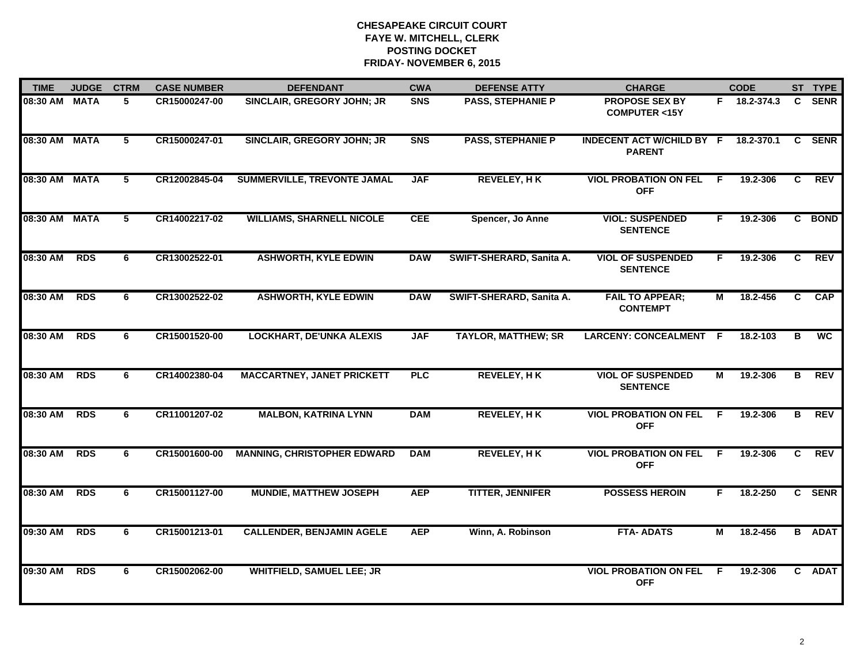| <b>TIME</b>   | <b>JUDGE</b> | <b>CTRM</b>     | <b>CASE NUMBER</b> | <b>DEFENDANT</b>                   | <b>CWA</b> | <b>DEFENSE ATTY</b>        | <b>CHARGE</b>                                     |    | <b>CODE</b>  |              | ST TYPE       |
|---------------|--------------|-----------------|--------------------|------------------------------------|------------|----------------------------|---------------------------------------------------|----|--------------|--------------|---------------|
| 08:30 AM MATA |              | 5               | CR15000247-00      | SINCLAIR, GREGORY JOHN; JR         | <b>SNS</b> | <b>PASS, STEPHANIE P</b>   | <b>PROPOSE SEX BY</b><br><b>COMPUTER &lt;15Y</b>  |    | F 18.2-374.3 | $\mathbf{c}$ | <b>SENR</b>   |
| 08:30 AM MATA |              | $5\phantom{.0}$ | CR15000247-01      | SINCLAIR, GREGORY JOHN; JR         | <b>SNS</b> | <b>PASS, STEPHANIE P</b>   | <b>INDECENT ACT W/CHILD BY F</b><br><b>PARENT</b> |    | 18.2-370.1   | C.           | <b>SENR</b>   |
| 08:30 AM MATA |              | 5               | CR12002845-04      | <b>SUMMERVILLE, TREVONTE JAMAL</b> | <b>JAF</b> | <b>REVELEY, HK</b>         | <b>VIOL PROBATION ON FEL</b><br><b>OFF</b>        | E  | 19.2-306     | C.           | REV           |
| 08:30 AM MATA |              | 5               | CR14002217-02      | <b>WILLIAMS, SHARNELL NICOLE</b>   | <b>CEE</b> | Spencer, Jo Anne           | <b>VIOL: SUSPENDED</b><br><b>SENTENCE</b>         | F. | 19.2-306     |              | C BOND        |
| 08:30 AM      | <b>RDS</b>   | 6               | CR13002522-01      | <b>ASHWORTH, KYLE EDWIN</b>        | <b>DAW</b> | SWIFT-SHERARD, Sanita A.   | <b>VIOL OF SUSPENDED</b><br><b>SENTENCE</b>       | F. | 19.2-306     | C.           | <b>REV</b>    |
| 08:30 AM      | <b>RDS</b>   | 6               | CR13002522-02      | <b>ASHWORTH, KYLE EDWIN</b>        | <b>DAW</b> | SWIFT-SHERARD, Sanita A.   | <b>FAIL TO APPEAR;</b><br><b>CONTEMPT</b>         | М  | 18.2-456     | C.           | <b>CAP</b>    |
| 08:30 AM      | <b>RDS</b>   | 6               | CR15001520-00      | <b>LOCKHART, DE'UNKA ALEXIS</b>    | <b>JAF</b> | <b>TAYLOR, MATTHEW; SR</b> | LARCENY: CONCEALMENT F                            |    | 18.2-103     | В            | <b>WC</b>     |
| 08:30 AM      | <b>RDS</b>   | 6               | CR14002380-04      | <b>MACCARTNEY, JANET PRICKETT</b>  | <b>PLC</b> | <b>REVELEY, HK</b>         | <b>VIOL OF SUSPENDED</b><br><b>SENTENCE</b>       | М  | 19.2-306     | B            | REV           |
| 08:30 AM      | <b>RDS</b>   | 6               | CR11001207-02      | <b>MALBON, KATRINA LYNN</b>        | <b>DAM</b> | <b>REVELEY, HK</b>         | <b>VIOL PROBATION ON FEL</b><br><b>OFF</b>        | -F | 19.2-306     | В            | <b>REV</b>    |
| 08:30 AM      | <b>RDS</b>   | 6               | CR15001600-00      | <b>MANNING, CHRISTOPHER EDWARD</b> | <b>DAM</b> | <b>REVELEY, HK</b>         | <b>VIOL PROBATION ON FEL</b><br><b>OFF</b>        | E  | 19.2-306     | C            | REV           |
| 08:30 AM      | <b>RDS</b>   | 6               | CR15001127-00      | <b>MUNDIE, MATTHEW JOSEPH</b>      | <b>AEP</b> | <b>TITTER, JENNIFER</b>    | <b>POSSESS HEROIN</b>                             | F. | 18.2-250     |              | C SENR        |
| 09:30 AM      | <b>RDS</b>   | 6               | CR15001213-01      | <b>CALLENDER, BENJAMIN AGELE</b>   | <b>AEP</b> | Winn, A. Robinson          | <b>FTA- ADATS</b>                                 | М  | 18.2-456     |              | <b>B</b> ADAT |
| 09:30 AM      | <b>RDS</b>   | 6               | CR15002062-00      | <b>WHITFIELD, SAMUEL LEE; JR</b>   |            |                            | <b>VIOL PROBATION ON FEL</b><br><b>OFF</b>        | -F | 19.2-306     |              | C ADAT        |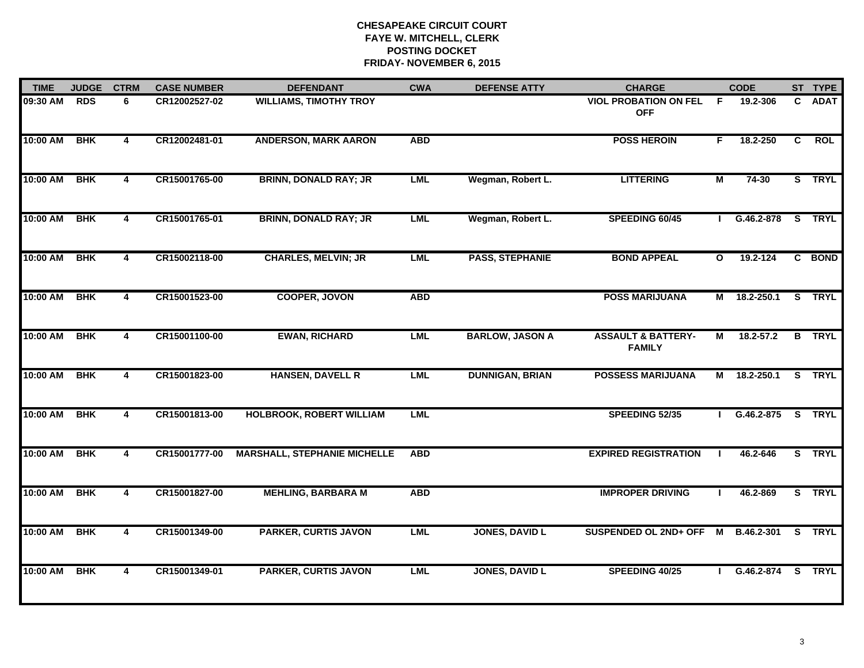| <b>TIME</b> | <b>JUDGE</b> | <b>CTRM</b>             | <b>CASE NUMBER</b> | <b>DEFENDANT</b>                    | <b>CWA</b> | <b>DEFENSE ATTY</b>    | <b>CHARGE</b>                                  |                | <b>CODE</b>   |                | ST TYPE       |
|-------------|--------------|-------------------------|--------------------|-------------------------------------|------------|------------------------|------------------------------------------------|----------------|---------------|----------------|---------------|
| 09:30 AM    | <b>RDS</b>   | 6                       | CR12002527-02      | <b>WILLIAMS, TIMOTHY TROY</b>       |            |                        | <b>VIOL PROBATION ON FEL</b><br><b>OFF</b>     | F.             | 19.2-306      | C.             | <b>ADAT</b>   |
| 10:00 AM    | <b>BHK</b>   | $\overline{\mathbf{4}}$ | CR12002481-01      | <b>ANDERSON, MARK AARON</b>         | <b>ABD</b> |                        | <b>POSS HEROIN</b>                             | F.             | 18.2-250      | $\overline{c}$ | <b>ROL</b>    |
| 10:00 AM    | <b>BHK</b>   | $\overline{4}$          | CR15001765-00      | <b>BRINN, DONALD RAY; JR</b>        | <b>LML</b> | Wegman, Robert L.      | <b>LITTERING</b>                               | М              | 74-30         |                | S TRYL        |
| 10:00 AM    | <b>BHK</b>   | 4                       | CR15001765-01      | <b>BRINN, DONALD RAY; JR</b>        | <b>LML</b> | Wegman, Robert L.      | SPEEDING 60/45                                 |                | G.46.2-878    |                | S TRYL        |
| 10:00 AM    | <b>BHK</b>   | $\overline{\mathbf{4}}$ | CR15002118-00      | <b>CHARLES, MELVIN; JR</b>          | <b>LML</b> | <b>PASS, STEPHANIE</b> | <b>BOND APPEAL</b>                             | $\mathbf{o}$   | 19.2-124      |                | C BOND        |
| 10:00 AM    | <b>BHK</b>   | 4                       | CR15001523-00      | <b>COOPER, JOVON</b>                | <b>ABD</b> |                        | <b>POSS MARIJUANA</b>                          | М              | 18.2-250.1    |                | S TRYL        |
| 10:00 AM    | <b>BHK</b>   | 4                       | CR15001100-00      | <b>EWAN, RICHARD</b>                | <b>LML</b> | <b>BARLOW, JASON A</b> | <b>ASSAULT &amp; BATTERY-</b><br><b>FAMILY</b> | $\blacksquare$ | $18.2 - 57.2$ |                | <b>B</b> TRYL |
| 10:00 AM    | <b>BHK</b>   | 4                       | CR15001823-00      | <b>HANSEN, DAVELL R</b>             | <b>LML</b> | <b>DUNNIGAN, BRIAN</b> | <b>POSSESS MARIJUANA</b>                       | М              | 18.2-250.1    |                | S TRYL        |
| 10:00 AM    | <b>BHK</b>   | 4                       | CR15001813-00      | <b>HOLBROOK, ROBERT WILLIAM</b>     | <b>LML</b> |                        | SPEEDING 52/35                                 | $\mathbf{I}$   | G.46.2-875    |                | S TRYL        |
| 10:00 AM    | <b>BHK</b>   | 4                       | CR15001777-00      | <b>MARSHALL, STEPHANIE MICHELLE</b> | <b>ABD</b> |                        | <b>EXPIRED REGISTRATION</b>                    | $\blacksquare$ | 46.2-646      |                | S TRYL        |
| 10:00 AM    | <b>BHK</b>   | 4                       | CR15001827-00      | <b>MEHLING, BARBARA M</b>           | <b>ABD</b> |                        | <b>IMPROPER DRIVING</b>                        |                | 46.2-869      |                | S TRYL        |
| 10:00 AM    | <b>BHK</b>   | $\overline{4}$          | CR15001349-00      | <b>PARKER, CURTIS JAVON</b>         | <b>LML</b> | <b>JONES, DAVID L</b>  | SUSPENDED OL 2ND+ OFF                          |                | M B.46.2-301  |                | S TRYL        |
| 10:00 AM    | <b>BHK</b>   | 4                       | CR15001349-01      | <b>PARKER, CURTIS JAVON</b>         | <b>LML</b> | <b>JONES, DAVID L</b>  | SPEEDING 40/25                                 |                | G.46.2-874    |                | S TRYL        |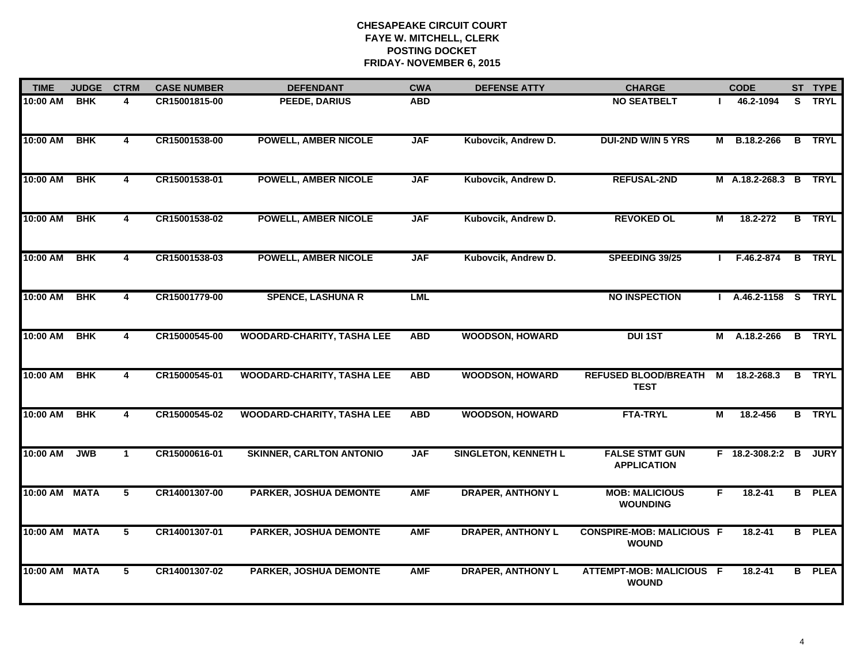| <b>TIME</b>   | <b>JUDGE</b> | <b>CTRM</b>    | <b>CASE NUMBER</b> | <b>DEFENDANT</b>                  | <b>CWA</b> | <b>DEFENSE ATTY</b>         | <b>CHARGE</b>                                    |    | <b>CODE</b>          |   | ST TYPE       |
|---------------|--------------|----------------|--------------------|-----------------------------------|------------|-----------------------------|--------------------------------------------------|----|----------------------|---|---------------|
| $10:00$ AM    | <b>BHK</b>   | 4              | CR15001815-00      | PEEDE, DARIUS                     | <b>ABD</b> |                             | <b>NO SEATBELT</b>                               |    | 46.2-1094            |   | S TRYL        |
| 10:00 AM      | <b>BHK</b>   | 4              | CR15001538-00      | <b>POWELL, AMBER NICOLE</b>       | <b>JAF</b> | Kubovcik, Andrew D.         | <b>DUI-2ND W/IN 5 YRS</b>                        |    | M B.18.2-266         |   | <b>B</b> TRYL |
| 10:00 AM      | <b>BHK</b>   | $\overline{4}$ | CR15001538-01      | <b>POWELL, AMBER NICOLE</b>       | <b>JAF</b> | Kubovcik, Andrew D.         | <b>REFUSAL-2ND</b>                               |    | M A.18.2-268.3 B     |   | <b>TRYL</b>   |
| 10:00 AM      | <b>BHK</b>   | 4              | CR15001538-02      | <b>POWELL, AMBER NICOLE</b>       | <b>JAF</b> | Kubovcik, Andrew D.         | <b>REVOKED OL</b>                                | М  | 18.2-272             |   | <b>B</b> TRYL |
| 10:00 AM      | <b>BHK</b>   | 4              | CR15001538-03      | <b>POWELL, AMBER NICOLE</b>       | <b>JAF</b> | Kubovcik, Andrew D.         | SPEEDING 39/25                                   |    | F.46.2-874           | B | <b>TRYL</b>   |
| 10:00 AM      | <b>BHK</b>   | 4              | CR15001779-00      | <b>SPENCE, LASHUNA R</b>          | <b>LML</b> |                             | <b>NO INSPECTION</b>                             |    | I A.46.2-1158 S TRYL |   |               |
| 10:00 AM      | <b>BHK</b>   | 4              | CR15000545-00      | <b>WOODARD-CHARITY, TASHA LEE</b> | <b>ABD</b> | <b>WOODSON, HOWARD</b>      | <b>DUI1ST</b>                                    |    | M A.18.2-266         |   | <b>B</b> TRYL |
| 10:00 AM      | <b>BHK</b>   | 4              | CR15000545-01      | <b>WOODARD-CHARITY, TASHA LEE</b> | <b>ABD</b> | <b>WOODSON, HOWARD</b>      | <b>REFUSED BLOOD/BREATH</b><br><b>TEST</b>       | M  | 18.2-268.3           |   | <b>B</b> TRYL |
| 10:00 AM      | <b>BHK</b>   | 4              | CR15000545-02      | <b>WOODARD-CHARITY, TASHA LEE</b> | <b>ABD</b> | <b>WOODSON, HOWARD</b>      | <b>FTA-TRYL</b>                                  | М  | 18.2-456             |   | <b>B</b> TRYL |
| 10:00 AM      | <b>JWB</b>   | $\mathbf{1}$   | CR15000616-01      | <b>SKINNER, CARLTON ANTONIO</b>   | <b>JAF</b> | <b>SINGLETON, KENNETH L</b> | <b>FALSE STMT GUN</b><br><b>APPLICATION</b>      |    | F 18.2-308.2:2 B     |   | <b>JURY</b>   |
| 10:00 AM MATA |              | 5              | CR14001307-00      | <b>PARKER, JOSHUA DEMONTE</b>     | <b>AMF</b> | <b>DRAPER, ANTHONY L</b>    | <b>MOB: MALICIOUS</b><br><b>WOUNDING</b>         | F. | $18.2 - 41$          |   | <b>B</b> PLEA |
| 10:00 AM MATA |              | 5              | CR14001307-01      | <b>PARKER, JOSHUA DEMONTE</b>     | <b>AMF</b> | <b>DRAPER, ANTHONY L</b>    | <b>CONSPIRE-MOB: MALICIOUS F</b><br><b>WOUND</b> |    | 18.2-41              |   | <b>B</b> PLEA |
| 10:00 AM MATA |              | 5              | CR14001307-02      | PARKER, JOSHUA DEMONTE            | <b>AMF</b> | <b>DRAPER, ANTHONY L</b>    | ATTEMPT-MOB: MALICIOUS F<br><b>WOUND</b>         |    | $18.2 - 41$          |   | <b>B</b> PLEA |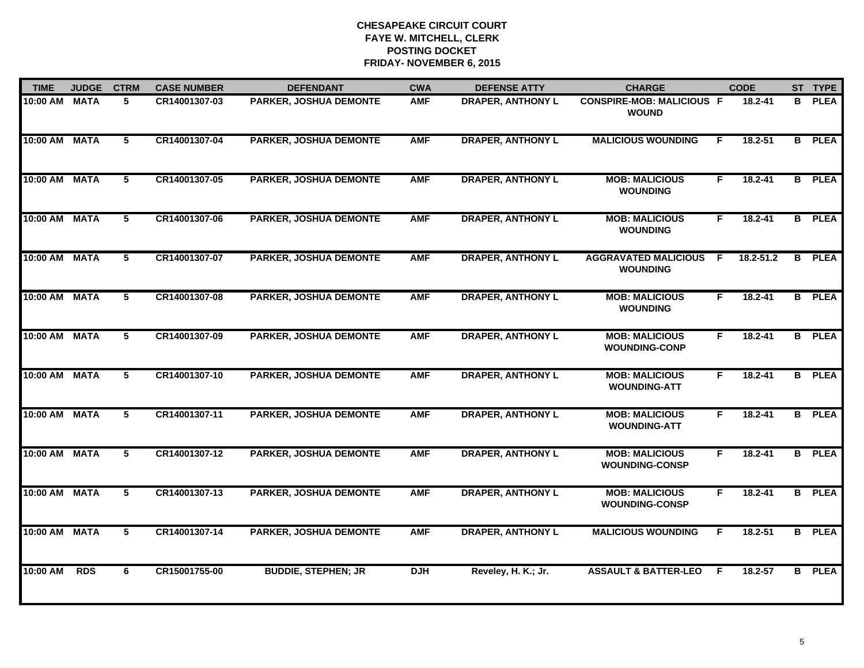| <b>TIME</b>   | <b>JUDGE</b> | <b>CTRM</b>    | <b>CASE NUMBER</b> | <b>DEFENDANT</b>              | <b>CWA</b> | <b>DEFENSE ATTY</b>      | <b>CHARGE</b>                                    | <b>CODE</b> |             |    | ST TYPE       |
|---------------|--------------|----------------|--------------------|-------------------------------|------------|--------------------------|--------------------------------------------------|-------------|-------------|----|---------------|
| 10:00 AM      | <b>MATA</b>  | 5              | CR14001307-03      | PARKER, JOSHUA DEMONTE        | <b>AMF</b> | <b>DRAPER, ANTHONY L</b> | <b>CONSPIRE-MOB: MALICIOUS F</b><br><b>WOUND</b> |             | $18.2 - 41$ | B. | <b>PLEA</b>   |
| 10:00 AM MATA |              | $5^{\circ}$    | CR14001307-04      | <b>PARKER, JOSHUA DEMONTE</b> | <b>AMF</b> | <b>DRAPER, ANTHONY L</b> | <b>MALICIOUS WOUNDING</b>                        | E           | $18.2 - 51$ |    | <b>B</b> PLEA |
| 10:00 AM MATA |              | 5              | CR14001307-05      | <b>PARKER, JOSHUA DEMONTE</b> | <b>AMF</b> | <b>DRAPER, ANTHONY L</b> | <b>MOB: MALICIOUS</b><br><b>WOUNDING</b>         | F.          | $18.2 - 41$ |    | <b>B</b> PLEA |
| 10:00 AM      | <b>MATA</b>  | 5              | CR14001307-06      | <b>PARKER, JOSHUA DEMONTE</b> | <b>AMF</b> | <b>DRAPER, ANTHONY L</b> | <b>MOB: MALICIOUS</b><br><b>WOUNDING</b>         | F           | $18.2 - 41$ | B  | <b>PLEA</b>   |
| 10:00 AM MATA |              | 5              | CR14001307-07      | <b>PARKER, JOSHUA DEMONTE</b> | <b>AMF</b> | <b>DRAPER, ANTHONY L</b> | <b>AGGRAVATED MALICIOUS</b><br><b>WOUNDING</b>   | F           | 18.2-51.2   | B  | <b>PLEA</b>   |
| 10:00 AM MATA |              | 5              | CR14001307-08      | <b>PARKER, JOSHUA DEMONTE</b> | <b>AMF</b> | <b>DRAPER, ANTHONY L</b> | <b>MOB: MALICIOUS</b><br><b>WOUNDING</b>         | F.          | $18.2 - 41$ |    | <b>B</b> PLEA |
| 10:00 AM MATA |              | $5^{\circ}$    | CR14001307-09      | PARKER, JOSHUA DEMONTE        | <b>AMF</b> | <b>DRAPER, ANTHONY L</b> | <b>MOB: MALICIOUS</b><br><b>WOUNDING-CONP</b>    | F.          | $18.2 - 41$ |    | <b>B</b> PLEA |
| 10:00 AM MATA |              | 5              | CR14001307-10      | <b>PARKER, JOSHUA DEMONTE</b> | <b>AMF</b> | <b>DRAPER, ANTHONY L</b> | <b>MOB: MALICIOUS</b><br><b>WOUNDING-ATT</b>     | F.          | $18.2 - 41$ |    | <b>B</b> PLEA |
| 10:00 AM MATA |              | 5              | CR14001307-11      | <b>PARKER, JOSHUA DEMONTE</b> | <b>AMF</b> | <b>DRAPER, ANTHONY L</b> | <b>MOB: MALICIOUS</b><br><b>WOUNDING-ATT</b>     | F           | 18.2-41     |    | <b>B</b> PLEA |
| 10:00 AM MATA |              | 5              | CR14001307-12      | PARKER, JOSHUA DEMONTE        | <b>AMF</b> | <b>DRAPER, ANTHONY L</b> | <b>MOB: MALICIOUS</b><br><b>WOUNDING-CONSP</b>   | F           | 18.2-41     |    | <b>B</b> PLEA |
| 10:00 AM MATA |              | 5              | CR14001307-13      | <b>PARKER, JOSHUA DEMONTE</b> | <b>AMF</b> | <b>DRAPER, ANTHONY L</b> | <b>MOB: MALICIOUS</b><br><b>WOUNDING-CONSP</b>   | F           | $18.2 - 41$ |    | <b>B</b> PLEA |
| 10:00 AM      | <b>MATA</b>  | $\overline{5}$ | CR14001307-14      | <b>PARKER, JOSHUA DEMONTE</b> | <b>AMF</b> | <b>DRAPER, ANTHONY L</b> | <b>MALICIOUS WOUNDING</b>                        | F.          | $18.2 - 51$ |    | <b>B</b> PLEA |
| 10:00 AM      | <b>RDS</b>   | 6              | CR15001755-00      | <b>BUDDIE, STEPHEN; JR</b>    | <b>DJH</b> | Reveley, H. K.; Jr.      | <b>ASSAULT &amp; BATTER-LEO</b>                  | E           | 18.2-57     | B. | <b>PLEA</b>   |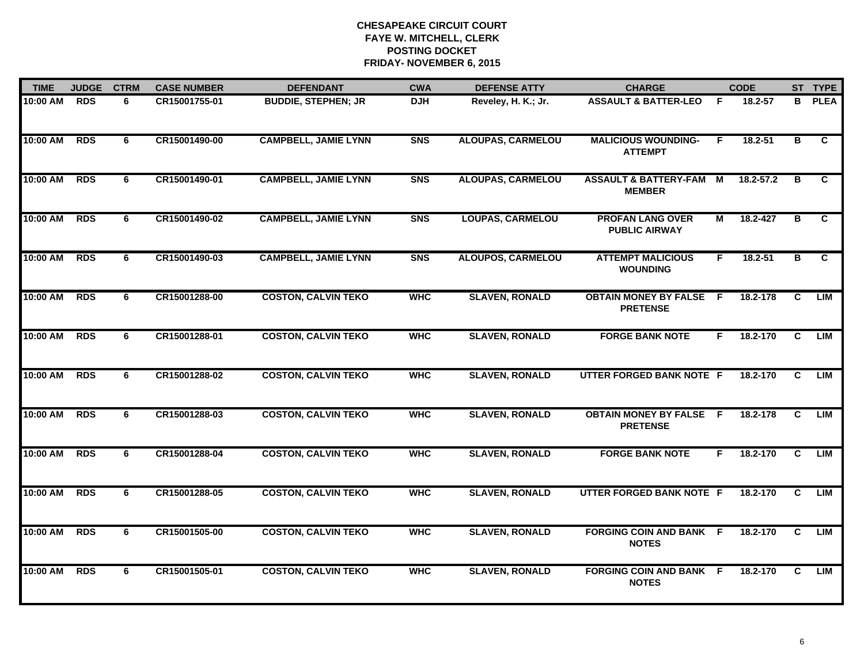| <b>TIME</b> | <b>JUDGE</b> | <b>CTRM</b> | <b>CASE NUMBER</b> | <b>DEFENDANT</b>            | <b>CWA</b> | <b>DEFENSE ATTY</b>      | <b>CHARGE</b>                                     |                | <b>CODE</b>   |                | ST TYPE        |
|-------------|--------------|-------------|--------------------|-----------------------------|------------|--------------------------|---------------------------------------------------|----------------|---------------|----------------|----------------|
| 10:00 AM    | <b>RDS</b>   | 6           | CR15001755-01      | <b>BUDDIE, STEPHEN; JR</b>  | <b>DJH</b> | Reveley, H. K.; Jr.      | <b>ASSAULT &amp; BATTER-LEO</b>                   | F              | 18.2-57       | B              | <b>PLEA</b>    |
| 10:00 AM    | <b>RDS</b>   | 6           | CR15001490-00      | <b>CAMPBELL, JAMIE LYNN</b> | <b>SNS</b> | <b>ALOUPAS, CARMELOU</b> | <b>MALICIOUS WOUNDING-</b><br><b>ATTEMPT</b>      | F              | $18.2 - 51$   | в              | C              |
| 10:00 AM    | <b>RDS</b>   | 6           | CR15001490-01      | <b>CAMPBELL, JAMIE LYNN</b> | <b>SNS</b> | <b>ALOUPAS, CARMELOU</b> | <b>ASSAULT &amp; BATTERY-FAM</b><br><b>MEMBER</b> | $\overline{M}$ | $18.2 - 57.2$ | $\overline{B}$ | $\overline{c}$ |
| 10:00 AM    | <b>RDS</b>   | 6           | CR15001490-02      | <b>CAMPBELL, JAMIE LYNN</b> | <b>SNS</b> | <b>LOUPAS, CARMELOU</b>  | <b>PROFAN LANG OVER</b><br><b>PUBLIC AIRWAY</b>   | М              | 18.2-427      | в              | C.             |
| 10:00 AM    | <b>RDS</b>   | 6           | CR15001490-03      | <b>CAMPBELL, JAMIE LYNN</b> | <b>SNS</b> | <b>ALOUPOS, CARMELOU</b> | <b>ATTEMPT MALICIOUS</b><br><b>WOUNDING</b>       | F              | $18.2 - 51$   | в              | C              |
| 10:00 AM    | <b>RDS</b>   | 6           | CR15001288-00      | <b>COSTON, CALVIN TEKO</b>  | <b>WHC</b> | <b>SLAVEN, RONALD</b>    | <b>OBTAIN MONEY BY FALSE F</b><br><b>PRETENSE</b> |                | 18.2-178      | C              | LIM            |
| 10:00 AM    | <b>RDS</b>   | 6           | CR15001288-01      | <b>COSTON, CALVIN TEKO</b>  | <b>WHC</b> | <b>SLAVEN, RONALD</b>    | <b>FORGE BANK NOTE</b>                            | F.             | 18.2-170      | $\mathbf{C}$   | <b>LIM</b>     |
| 10:00 AM    | <b>RDS</b>   | 6           | CR15001288-02      | <b>COSTON, CALVIN TEKO</b>  | <b>WHC</b> | <b>SLAVEN, RONALD</b>    | UTTER FORGED BANK NOTE F                          |                | 18.2-170      | C.             | LIM            |
| 10:00 AM    | <b>RDS</b>   | 6           | CR15001288-03      | <b>COSTON, CALVIN TEKO</b>  | <b>WHC</b> | <b>SLAVEN, RONALD</b>    | <b>OBTAIN MONEY BY FALSE</b><br><b>PRETENSE</b>   | - F            | 18.2-178      | C              | LIM            |
| 10:00 AM    | <b>RDS</b>   | 6           | CR15001288-04      | <b>COSTON, CALVIN TEKO</b>  | <b>WHC</b> | <b>SLAVEN, RONALD</b>    | <b>FORGE BANK NOTE</b>                            | F.             | 18.2-170      | C              | LIM            |
| 10:00 AM    | <b>RDS</b>   | 6           | CR15001288-05      | <b>COSTON, CALVIN TEKO</b>  | <b>WHC</b> | <b>SLAVEN, RONALD</b>    | UTTER FORGED BANK NOTE F                          |                | 18.2-170      | C              | LIM            |
| 10:00 AM    | <b>RDS</b>   | 6           | CR15001505-00      | <b>COSTON, CALVIN TEKO</b>  | <b>WHC</b> | <b>SLAVEN, RONALD</b>    | <b>FORGING COIN AND BANK</b><br><b>NOTES</b>      | $\overline{F}$ | 18.2-170      | $\overline{c}$ | LIM            |
| 10:00 AM    | <b>RDS</b>   | 6           | CR15001505-01      | <b>COSTON, CALVIN TEKO</b>  | <b>WHC</b> | <b>SLAVEN, RONALD</b>    | <b>FORGING COIN AND BANK F</b><br><b>NOTES</b>    |                | 18.2-170      | C              | <b>LIM</b>     |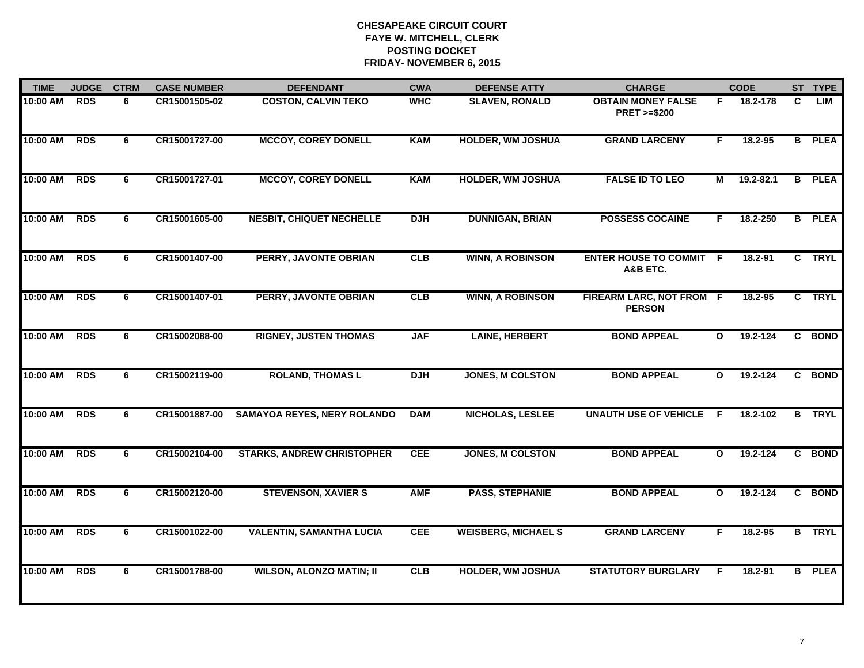| <b>TIME</b> | <b>JUDGE</b> | <b>CTRM</b> | <b>CASE NUMBER</b> | <b>DEFENDANT</b>                   | <b>CWA</b> | <b>DEFENSE ATTY</b>        | <b>CHARGE</b>                                       |              | <b>CODE</b>  |    | ST TYPE       |
|-------------|--------------|-------------|--------------------|------------------------------------|------------|----------------------------|-----------------------------------------------------|--------------|--------------|----|---------------|
| 10:00 AM    | <b>RDS</b>   | 6           | CR15001505-02      | <b>COSTON, CALVIN TEKO</b>         | <b>WHC</b> | <b>SLAVEN, RONALD</b>      | <b>OBTAIN MONEY FALSE</b><br><b>PRET &gt;=\$200</b> | F.           | 18.2-178     | C  | LIM           |
| 10:00 AM    | <b>RDS</b>   | 6           | CR15001727-00      | <b>MCCOY, COREY DONELL</b>         | <b>KAM</b> | <b>HOLDER, WM JOSHUA</b>   | <b>GRAND LARCENY</b>                                | F            | 18.2-95      |    | <b>B</b> PLEA |
| 10:00 AM    | <b>RDS</b>   | 6           | CR15001727-01      | <b>MCCOY, COREY DONELL</b>         | <b>KAM</b> | <b>HOLDER, WM JOSHUA</b>   | <b>FALSE ID TO LEO</b>                              | М            | 19.2-82.1    | B. | <b>PLEA</b>   |
| 10:00 AM    | <b>RDS</b>   | 6           | CR15001605-00      | <b>NESBIT, CHIQUET NECHELLE</b>    | <b>DJH</b> | <b>DUNNIGAN, BRIAN</b>     | <b>POSSESS COCAINE</b>                              | F            | 18.2-250     | B  | <b>PLEA</b>   |
| 10:00 AM    | <b>RDS</b>   | 6           | CR15001407-00      | PERRY, JAVONTE OBRIAN              | CLB        | <b>WINN, A ROBINSON</b>    | <b>ENTER HOUSE TO COMMIT F</b><br>A&B ETC.          |              | 18.2-91      |    | C TRYL        |
| 10:00 AM    | <b>RDS</b>   | 6           | CR15001407-01      | PERRY, JAVONTE OBRIAN              | CLB        | <b>WINN, A ROBINSON</b>    | FIREARM LARC, NOT FROM F<br><b>PERSON</b>           |              | 18.2-95      |    | C TRYL        |
| 10:00 AM    | <b>RDS</b>   | 6           | CR15002088-00      | <b>RIGNEY, JUSTEN THOMAS</b>       | <b>JAF</b> | <b>LAINE, HERBERT</b>      | <b>BOND APPEAL</b>                                  | $\mathbf{o}$ | 19.2-124     |    | C BOND        |
| 10:00 AM    | <b>RDS</b>   | 6           | CR15002119-00      | <b>ROLAND, THOMAS L</b>            | <b>DJH</b> | <b>JONES, M COLSTON</b>    | <b>BOND APPEAL</b>                                  | $\mathbf{o}$ | 19.2-124     |    | C BOND        |
| 10:00 AM    | <b>RDS</b>   | 6           | CR15001887-00      | <b>SAMAYOA REYES, NERY ROLANDO</b> | <b>DAM</b> | <b>NICHOLAS, LESLEE</b>    | <b>UNAUTH USE OF VEHICLE</b>                        | -F           | 18.2-102     |    | <b>B</b> TRYL |
| 10:00 AM    | <b>RDS</b>   | 6           | CR15002104-00      | <b>STARKS, ANDREW CHRISTOPHER</b>  | <b>CEE</b> | <b>JONES, M COLSTON</b>    | <b>BOND APPEAL</b>                                  | $\mathbf{o}$ | $19.2 - 124$ |    | C BOND        |
| 10:00 AM    | <b>RDS</b>   | 6           | CR15002120-00      | <b>STEVENSON, XAVIER S</b>         | <b>AMF</b> | <b>PASS, STEPHANIE</b>     | <b>BOND APPEAL</b>                                  | $\mathbf{o}$ | 19.2-124     | C. | <b>BOND</b>   |
| 10:00 AM    | <b>RDS</b>   | 6           | CR15001022-00      | <b>VALENTIN, SAMANTHA LUCIA</b>    | <b>CEE</b> | <b>WEISBERG, MICHAEL S</b> | <b>GRAND LARCENY</b>                                | F            | 18.2-95      |    | <b>B</b> TRYL |
| 10:00 AM    | <b>RDS</b>   | 6           | CR15001788-00      | <b>WILSON, ALONZO MATIN; II</b>    | CLB        | <b>HOLDER, WM JOSHUA</b>   | <b>STATUTORY BURGLARY</b>                           | F            | $18.2 - 91$  | B. | <b>PLEA</b>   |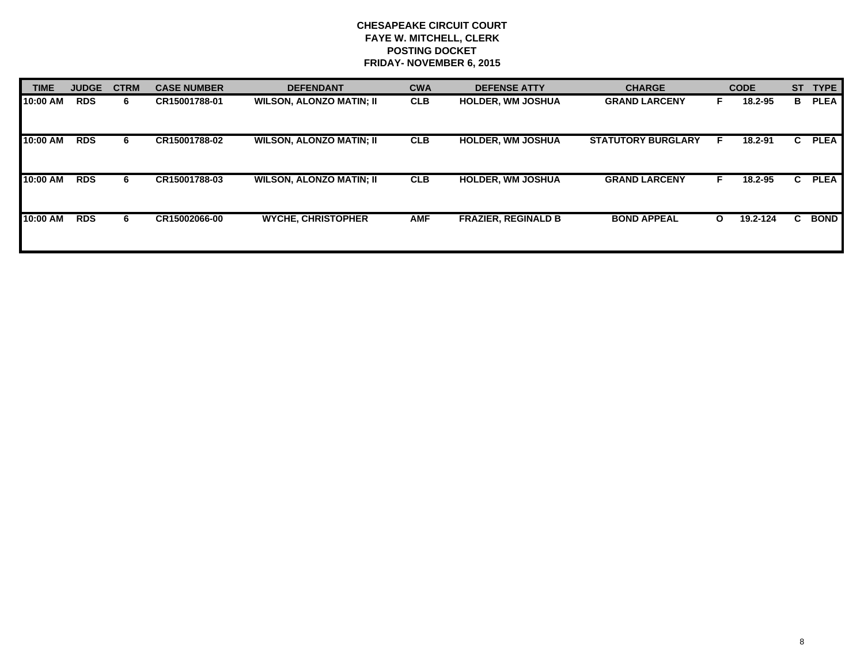| <b>TIME</b> | <b>JUDGE</b> | <b>CTRM</b> | <b>CASE NUMBER</b> | <b>DEFENDANT</b>                | <b>CWA</b> | <b>DEFENSE ATTY</b>        | <b>CHARGE</b>             |              | <b>CODE</b> | <b>ST</b> | <b>TYPE</b> |
|-------------|--------------|-------------|--------------------|---------------------------------|------------|----------------------------|---------------------------|--------------|-------------|-----------|-------------|
| 10:00 AM    | <b>RDS</b>   | 6.          | CR15001788-01      | <b>WILSON, ALONZO MATIN; II</b> | <b>CLB</b> | <b>HOLDER, WM JOSHUA</b>   | <b>GRAND LARCENY</b>      |              | 18.2-95     | в         | <b>PLEA</b> |
| 10:00 AM    | <b>RDS</b>   | 6           | CR15001788-02      | <b>WILSON, ALONZO MATIN; II</b> | <b>CLB</b> | <b>HOLDER, WM JOSHUA</b>   | <b>STATUTORY BURGLARY</b> |              | 18.2-91     | C.        | <b>PLEA</b> |
| 10:00 AM    | <b>RDS</b>   | 6.          | CR15001788-03      | <b>WILSON, ALONZO MATIN; II</b> | <b>CLB</b> | <b>HOLDER, WM JOSHUA</b>   | <b>GRAND LARCENY</b>      | F.           | 18.2-95     | C.        | <b>PLEA</b> |
| 10:00 AM    | <b>RDS</b>   | 6.          | CR15002066-00      | <b>WYCHE, CHRISTOPHER</b>       | <b>AMF</b> | <b>FRAZIER, REGINALD B</b> | <b>BOND APPEAL</b>        | $\mathbf{o}$ | 19.2-124    | C.        | <b>BOND</b> |